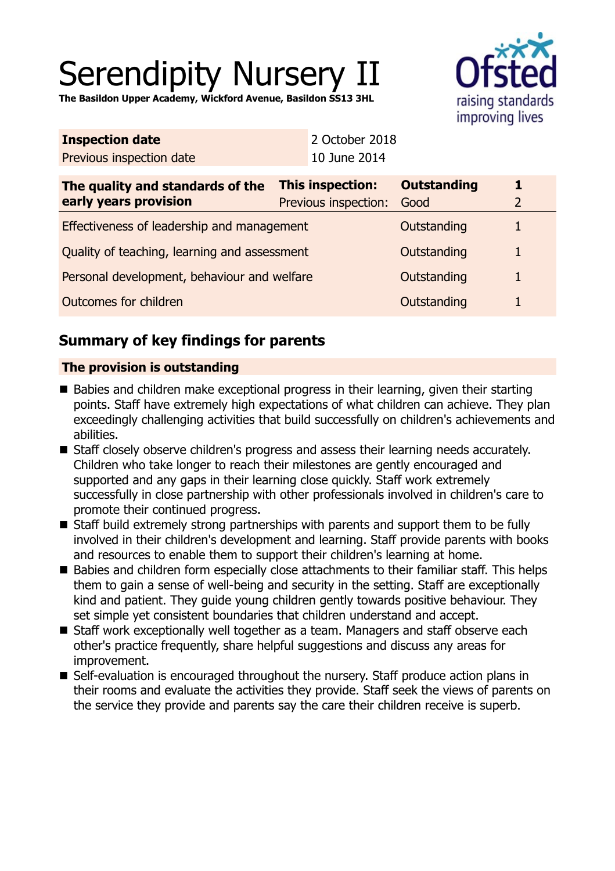# Serendipity Nursery II

**The Basildon Upper Academy, Wickford Avenue, Basildon SS13 3HL**



| <b>Inspection date</b>   | 2 October 2018 |
|--------------------------|----------------|
| Previous inspection date | 10 June 2014   |

| The quality and standards of the<br>early years provision | <b>This inspection:</b><br>Previous inspection: | <b>Outstanding</b><br>Good |  |
|-----------------------------------------------------------|-------------------------------------------------|----------------------------|--|
| Effectiveness of leadership and management                |                                                 | Outstanding                |  |
| Quality of teaching, learning and assessment              |                                                 | Outstanding                |  |
| Personal development, behaviour and welfare               |                                                 | Outstanding                |  |
| Outcomes for children                                     |                                                 | Outstanding                |  |

## **Summary of key findings for parents**

## **The provision is outstanding**

- Babies and children make exceptional progress in their learning, given their starting points. Staff have extremely high expectations of what children can achieve. They plan exceedingly challenging activities that build successfully on children's achievements and abilities.
- Staff closely observe children's progress and assess their learning needs accurately. Children who take longer to reach their milestones are gently encouraged and supported and any gaps in their learning close quickly. Staff work extremely successfully in close partnership with other professionals involved in children's care to promote their continued progress.
- Staff build extremely strong partnerships with parents and support them to be fully involved in their children's development and learning. Staff provide parents with books and resources to enable them to support their children's learning at home.
- Babies and children form especially close attachments to their familiar staff. This helps them to gain a sense of well-being and security in the setting. Staff are exceptionally kind and patient. They guide young children gently towards positive behaviour. They set simple yet consistent boundaries that children understand and accept.
- Staff work exceptionally well together as a team. Managers and staff observe each other's practice frequently, share helpful suggestions and discuss any areas for improvement.
- Self-evaluation is encouraged throughout the nursery. Staff produce action plans in their rooms and evaluate the activities they provide. Staff seek the views of parents on the service they provide and parents say the care their children receive is superb.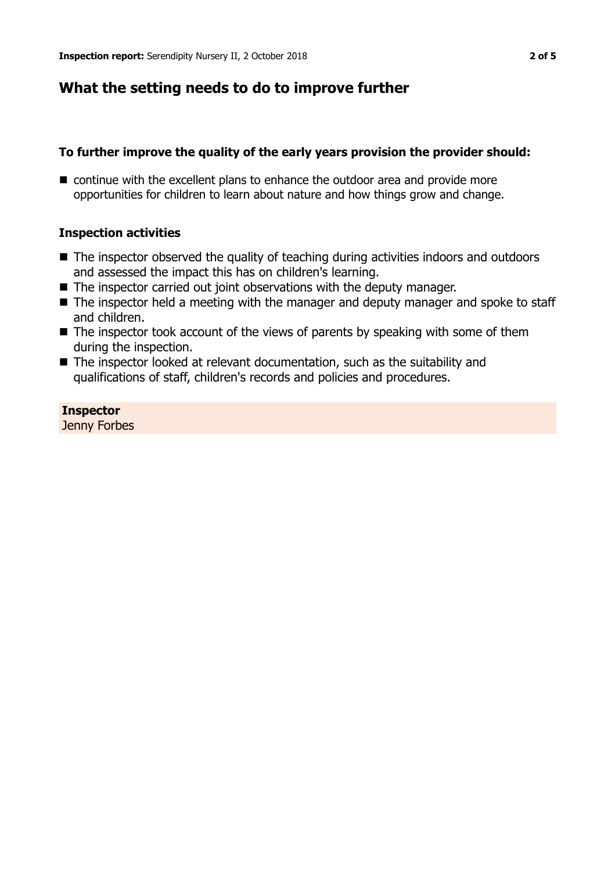## **What the setting needs to do to improve further**

## **To further improve the quality of the early years provision the provider should:**

 $\blacksquare$  continue with the excellent plans to enhance the outdoor area and provide more opportunities for children to learn about nature and how things grow and change.

## **Inspection activities**

- $\blacksquare$  The inspector observed the quality of teaching during activities indoors and outdoors and assessed the impact this has on children's learning.
- $\blacksquare$  The inspector carried out joint observations with the deputy manager.
- The inspector held a meeting with the manager and deputy manager and spoke to staff and children.
- $\blacksquare$  The inspector took account of the views of parents by speaking with some of them during the inspection.
- $\blacksquare$  The inspector looked at relevant documentation, such as the suitability and qualifications of staff, children's records and policies and procedures.

## **Inspector**

Jenny Forbes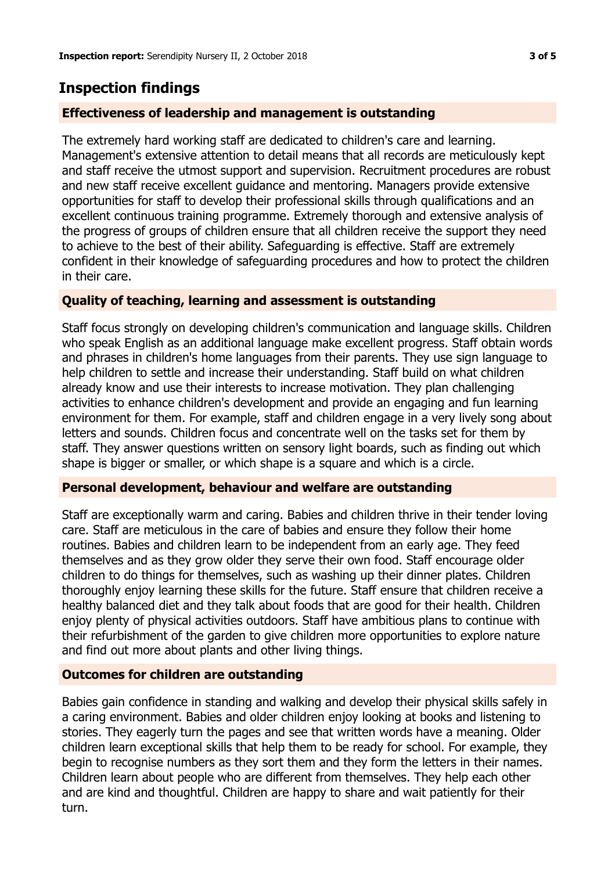## **Inspection findings**

## **Effectiveness of leadership and management is outstanding**

The extremely hard working staff are dedicated to children's care and learning. Management's extensive attention to detail means that all records are meticulously kept and staff receive the utmost support and supervision. Recruitment procedures are robust and new staff receive excellent guidance and mentoring. Managers provide extensive opportunities for staff to develop their professional skills through qualifications and an excellent continuous training programme. Extremely thorough and extensive analysis of the progress of groups of children ensure that all children receive the support they need to achieve to the best of their ability. Safeguarding is effective. Staff are extremely confident in their knowledge of safeguarding procedures and how to protect the children in their care.

#### **Quality of teaching, learning and assessment is outstanding**

Staff focus strongly on developing children's communication and language skills. Children who speak English as an additional language make excellent progress. Staff obtain words and phrases in children's home languages from their parents. They use sign language to help children to settle and increase their understanding. Staff build on what children already know and use their interests to increase motivation. They plan challenging activities to enhance children's development and provide an engaging and fun learning environment for them. For example, staff and children engage in a very lively song about letters and sounds. Children focus and concentrate well on the tasks set for them by staff. They answer questions written on sensory light boards, such as finding out which shape is bigger or smaller, or which shape is a square and which is a circle.

#### **Personal development, behaviour and welfare are outstanding**

Staff are exceptionally warm and caring. Babies and children thrive in their tender loving care. Staff are meticulous in the care of babies and ensure they follow their home routines. Babies and children learn to be independent from an early age. They feed themselves and as they grow older they serve their own food. Staff encourage older children to do things for themselves, such as washing up their dinner plates. Children thoroughly enjoy learning these skills for the future. Staff ensure that children receive a healthy balanced diet and they talk about foods that are good for their health. Children enjoy plenty of physical activities outdoors. Staff have ambitious plans to continue with their refurbishment of the garden to give children more opportunities to explore nature and find out more about plants and other living things.

#### **Outcomes for children are outstanding**

Babies gain confidence in standing and walking and develop their physical skills safely in a caring environment. Babies and older children enjoy looking at books and listening to stories. They eagerly turn the pages and see that written words have a meaning. Older children learn exceptional skills that help them to be ready for school. For example, they begin to recognise numbers as they sort them and they form the letters in their names. Children learn about people who are different from themselves. They help each other and are kind and thoughtful. Children are happy to share and wait patiently for their turn.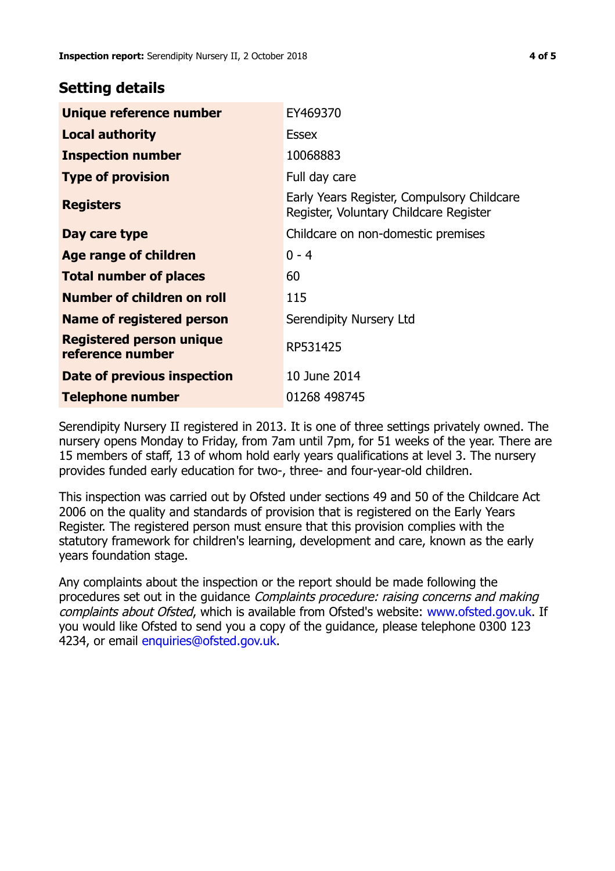## **Setting details**

| Unique reference number                             | EY469370                                                                             |
|-----------------------------------------------------|--------------------------------------------------------------------------------------|
| <b>Local authority</b>                              | Essex                                                                                |
| <b>Inspection number</b>                            | 10068883                                                                             |
| <b>Type of provision</b>                            | Full day care                                                                        |
| <b>Registers</b>                                    | Early Years Register, Compulsory Childcare<br>Register, Voluntary Childcare Register |
| Day care type                                       | Childcare on non-domestic premises                                                   |
| Age range of children                               | $0 - 4$                                                                              |
| <b>Total number of places</b>                       | 60                                                                                   |
| Number of children on roll                          | 115                                                                                  |
| Name of registered person                           | Serendipity Nursery Ltd                                                              |
| <b>Registered person unique</b><br>reference number | RP531425                                                                             |
| Date of previous inspection                         | 10 June 2014                                                                         |
| <b>Telephone number</b>                             | 01268 498745                                                                         |

Serendipity Nursery II registered in 2013. It is one of three settings privately owned. The nursery opens Monday to Friday, from 7am until 7pm, for 51 weeks of the year. There are 15 members of staff, 13 of whom hold early years qualifications at level 3. The nursery provides funded early education for two-, three- and four-year-old children.

This inspection was carried out by Ofsted under sections 49 and 50 of the Childcare Act 2006 on the quality and standards of provision that is registered on the Early Years Register. The registered person must ensure that this provision complies with the statutory framework for children's learning, development and care, known as the early years foundation stage.

Any complaints about the inspection or the report should be made following the procedures set out in the quidance *Complaints procedure: raising concerns and making* complaints about Ofsted, which is available from Ofsted's website: www.ofsted.gov.uk. If you would like Ofsted to send you a copy of the guidance, please telephone 0300 123 4234, or email [enquiries@ofsted.gov.uk.](mailto:enquiries@ofsted.gov.uk)